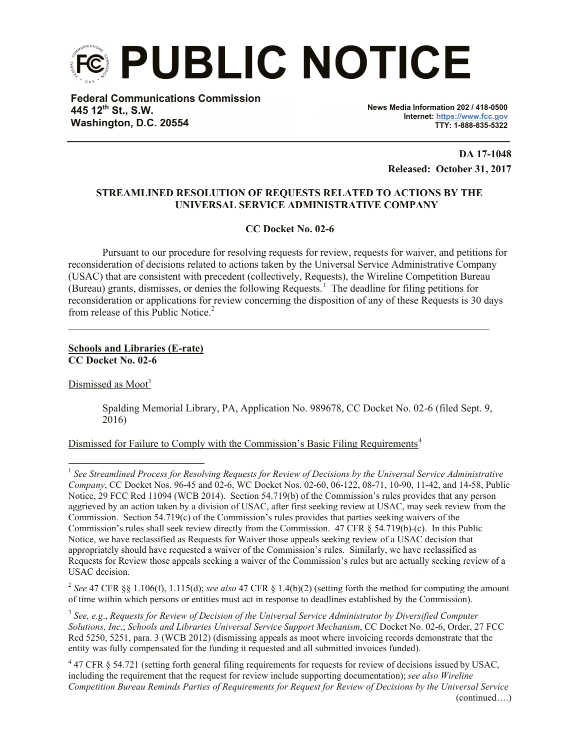

**Federal Communications Commission 445 12th St., S.W. Washington, D.C. 20554**

**News Media Information 202 / 418-0500 Internet: https://www.fcc.gov TTY: 1-888-835-5322**

> **DA 17-1048 Released: October 31, 2017**

# **STREAMLINED RESOLUTION OF REQUESTS RELATED TO ACTIONS BY THE UNIVERSAL SERVICE ADMINISTRATIVE COMPANY**

**CC Docket No. 02-6**

Pursuant to our procedure for resolving requests for review, requests for waiver, and petitions for reconsideration of decisions related to actions taken by the Universal Service Administrative Company (USAC) that are consistent with precedent (collectively, Requests), the Wireline Competition Bureau (Bureau) grants, dismisses, or denies the following Requests.<sup>1</sup> The deadline for filing petitions for reconsideration or applications for review concerning the disposition of any of these Requests is 30 days from release of this Public Notice.<sup>2</sup>

 $\mathcal{L}_\mathcal{L} = \{ \mathcal{L}_\mathcal{L} = \{ \mathcal{L}_\mathcal{L} = \{ \mathcal{L}_\mathcal{L} = \{ \mathcal{L}_\mathcal{L} = \{ \mathcal{L}_\mathcal{L} = \{ \mathcal{L}_\mathcal{L} = \{ \mathcal{L}_\mathcal{L} = \{ \mathcal{L}_\mathcal{L} = \{ \mathcal{L}_\mathcal{L} = \{ \mathcal{L}_\mathcal{L} = \{ \mathcal{L}_\mathcal{L} = \{ \mathcal{L}_\mathcal{L} = \{ \mathcal{L}_\mathcal{L} = \{ \mathcal{L}_\mathcal{$ 

## **Schools and Libraries (E-rate) CC Docket No. 02-6**

Dismissed as Moot<sup>3</sup>

l

Spalding Memorial Library, PA, Application No. 989678, CC Docket No. 02-6 (filed Sept. 9, 2016)

Dismissed for Failure to Comply with the Commission's Basic Filing Requirements<sup>4</sup>

<sup>&</sup>lt;sup>1</sup> See Streamlined Process for Resolving Requests for Review of Decisions by the Universal Service Administrative *Company*, CC Docket Nos. 96-45 and 02-6, WC Docket Nos. 02-60, 06-122, 08-71, 10-90, 11-42, and 14-58, Public Notice, 29 FCC Rcd 11094 (WCB 2014). Section 54.719(b) of the Commission's rules provides that any person aggrieved by an action taken by a division of USAC, after first seeking review at USAC, may seek review from the Commission. Section 54.719(c) of the Commission's rules provides that parties seeking waivers of the Commission's rules shall seek review directly from the Commission. 47 CFR § 54.719(b)-(c). In this Public Notice, we have reclassified as Requests for Waiver those appeals seeking review of a USAC decision that appropriately should have requested a waiver of the Commission's rules. Similarly, we have reclassified as Requests for Review those appeals seeking a waiver of the Commission's rules but are actually seeking review of a USAC decision.

<sup>2</sup> *See* 47 CFR §§ 1.106(f), 1.115(d); *see also* 47 CFR § 1.4(b)(2) (setting forth the method for computing the amount of time within which persons or entities must act in response to deadlines established by the Commission).

<sup>3</sup> *See, e.g*., *Requests for Review of Decision of the Universal Service Administrator by Diversified Computer Solutions, Inc*.; *Schools and Libraries Universal Service Support Mechanism*, CC Docket No. 02-6, Order, 27 FCC Rcd 5250, 5251, para. 3 (WCB 2012) (dismissing appeals as moot where invoicing records demonstrate that the entity was fully compensated for the funding it requested and all submitted invoices funded).

 $47$  CFR § 54.721 (setting forth general filing requirements for requests for review of decisions issued by USAC, including the requirement that the request for review include supporting documentation); *see also Wireline Competition Bureau Reminds Parties of Requirements for Request for Review of Decisions by the Universal Service*  (continued….)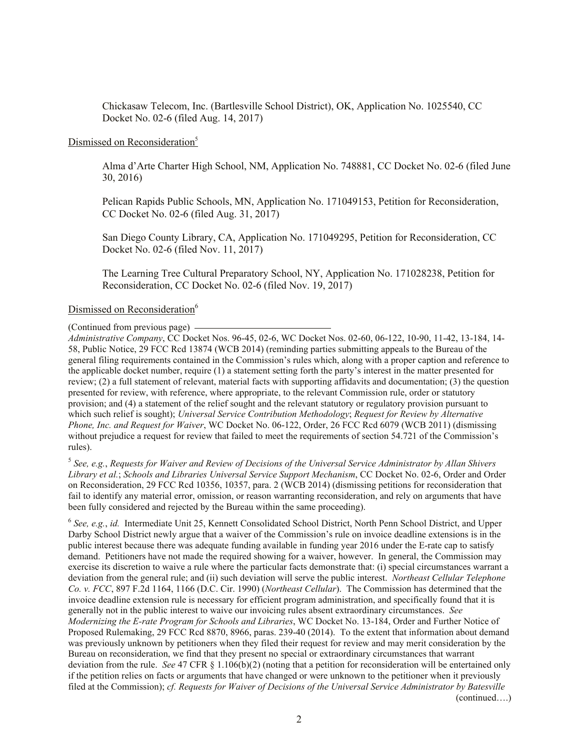Chickasaw Telecom, Inc. (Bartlesville School District), OK, Application No. 1025540, CC Docket No. 02-6 (filed Aug. 14, 2017)

#### Dismissed on Reconsideration<sup>5</sup>

Alma d'Arte Charter High School, NM, Application No. 748881, CC Docket No. 02-6 (filed June 30, 2016)

Pelican Rapids Public Schools, MN, Application No. 171049153, Petition for Reconsideration, CC Docket No. 02-6 (filed Aug. 31, 2017)

San Diego County Library, CA, Application No. 171049295, Petition for Reconsideration, CC Docket No. 02-6 (filed Nov. 11, 2017)

The Learning Tree Cultural Preparatory School, NY, Application No. 171028238, Petition for Reconsideration, CC Docket No. 02-6 (filed Nov. 19, 2017)

### Dismissed on Reconsideration<sup>6</sup>

(Continued from previous page)

*Administrative Company*, CC Docket Nos. 96-45, 02-6, WC Docket Nos. 02-60, 06-122, 10-90, 11-42, 13-184, 14- 58, Public Notice, 29 FCC Rcd 13874 (WCB 2014) (reminding parties submitting appeals to the Bureau of the general filing requirements contained in the Commission's rules which, along with a proper caption and reference to the applicable docket number, require (1) a statement setting forth the party's interest in the matter presented for review; (2) a full statement of relevant, material facts with supporting affidavits and documentation; (3) the question presented for review, with reference, where appropriate, to the relevant Commission rule, order or statutory provision; and (4) a statement of the relief sought and the relevant statutory or regulatory provision pursuant to which such relief is sought); *Universal Service Contribution Methodology*; *Request for Review by Alternative Phone, Inc. and Request for Waiver*, WC Docket No. 06-122, Order, 26 FCC Rcd 6079 (WCB 2011) (dismissing without prejudice a request for review that failed to meet the requirements of section 54.721 of the Commission's rules).

5 *See, e.g.*, *Requests for Waiver and Review of Decisions of the Universal Service Administrator by Allan Shivers Library et al.*; *Schools and Libraries Universal Service Support Mechanism*, CC Docket No. 02-6, Order and Order on Reconsideration, 29 FCC Rcd 10356, 10357, para. 2 (WCB 2014) (dismissing petitions for reconsideration that fail to identify any material error, omission, or reason warranting reconsideration, and rely on arguments that have been fully considered and rejected by the Bureau within the same proceeding).

6 *See, e.g.*, *id.* Intermediate Unit 25, Kennett Consolidated School District, North Penn School District, and Upper Darby School District newly argue that a waiver of the Commission's rule on invoice deadline extensions is in the public interest because there was adequate funding available in funding year 2016 under the E-rate cap to satisfy demand. Petitioners have not made the required showing for a waiver, however. In general, the Commission may exercise its discretion to waive a rule where the particular facts demonstrate that: (i) special circumstances warrant a deviation from the general rule; and (ii) such deviation will serve the public interest. *Northeast Cellular Telephone Co. v. FCC*, 897 F.2d 1164, 1166 (D.C. Cir. 1990) (*Northeast Cellular*). The Commission has determined that the invoice deadline extension rule is necessary for efficient program administration, and specifically found that it is generally not in the public interest to waive our invoicing rules absent extraordinary circumstances. *See Modernizing the E-rate Program for Schools and Libraries*, WC Docket No. 13-184, Order and Further Notice of Proposed Rulemaking, 29 FCC Rcd 8870, 8966, paras. 239-40 (2014). To the extent that information about demand was previously unknown by petitioners when they filed their request for review and may merit consideration by the Bureau on reconsideration, we find that they present no special or extraordinary circumstances that warrant deviation from the rule. *See* 47 CFR § 1.106(b)(2) (noting that a petition for reconsideration will be entertained only if the petition relies on facts or arguments that have changed or were unknown to the petitioner when it previously filed at the Commission); *cf. Requests for Waiver of Decisions of the Universal Service Administrator by Batesville*  (continued….)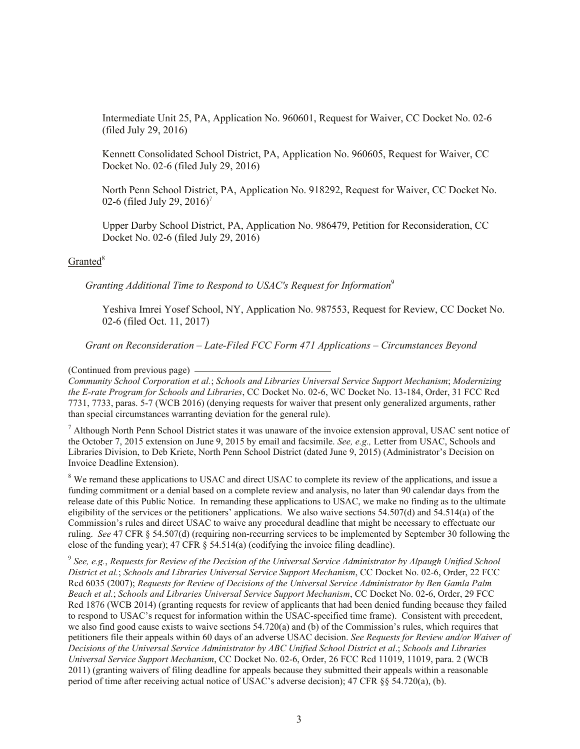Intermediate Unit 25, PA, Application No. 960601, Request for Waiver, CC Docket No. 02-6 (filed July 29, 2016)

Kennett Consolidated School District, PA, Application No. 960605, Request for Waiver, CC Docket No. 02-6 (filed July 29, 2016)

North Penn School District, PA, Application No. 918292, Request for Waiver, CC Docket No. 02-6 (filed July 29, 2016)<sup>7</sup>

Upper Darby School District, PA, Application No. 986479, Petition for Reconsideration, CC Docket No. 02-6 (filed July 29, 2016)

## $Granted<sup>8</sup>$

*Granting Additional Time to Respond to USAC's Request for Information*<sup>9</sup>

Yeshiva Imrei Yosef School, NY, Application No. 987553, Request for Review, CC Docket No. 02-6 (filed Oct. 11, 2017)

*Grant on Reconsideration – Late-Filed FCC Form 471 Applications – Circumstances Beyond* 

(Continued from previous page)

*Community School Corporation et al.*; *Schools and Libraries Universal Service Support Mechanism*; *Modernizing the E-rate Program for Schools and Libraries*, CC Docket No. 02-6, WC Docket No. 13-184, Order, 31 FCC Rcd 7731, 7733, paras. 5-7 (WCB 2016) (denying requests for waiver that present only generalized arguments, rather than special circumstances warranting deviation for the general rule).

<sup>7</sup> Although North Penn School District states it was unaware of the invoice extension approval, USAC sent notice of the October 7, 2015 extension on June 9, 2015 by email and facsimile. *See, e.g.,* Letter from USAC, Schools and Libraries Division, to Deb Kriete, North Penn School District (dated June 9, 2015) (Administrator's Decision on Invoice Deadline Extension).

<sup>8</sup> We remand these applications to USAC and direct USAC to complete its review of the applications, and issue a funding commitment or a denial based on a complete review and analysis, no later than 90 calendar days from the release date of this Public Notice. In remanding these applications to USAC, we make no finding as to the ultimate eligibility of the services or the petitioners' applications. We also waive sections 54.507(d) and 54.514(a) of the Commission's rules and direct USAC to waive any procedural deadline that might be necessary to effectuate our ruling. *See* 47 CFR § 54.507(d) (requiring non-recurring services to be implemented by September 30 following the close of the funding year); 47 CFR § 54.514(a) (codifying the invoice filing deadline).

9 *See, e.g.*, *Requests for Review of the Decision of the Universal Service Administrator by Alpaugh Unified School District et al.*; *Schools and Libraries Universal Service Support Mechanism*, CC Docket No. 02-6, Order, 22 FCC Rcd 6035 (2007); *Requests for Review of Decisions of the Universal Service Administrator by Ben Gamla Palm Beach et al.*; *Schools and Libraries Universal Service Support Mechanism*, CC Docket No. 02-6, Order, 29 FCC Rcd 1876 (WCB 2014) (granting requests for review of applicants that had been denied funding because they failed to respond to USAC's request for information within the USAC-specified time frame). Consistent with precedent, we also find good cause exists to waive sections 54.720(a) and (b) of the Commission's rules, which requires that petitioners file their appeals within 60 days of an adverse USAC decision. *See Requests for Review and/or Waiver of Decisions of the Universal Service Administrator by ABC Unified School District et al*.; *Schools and Libraries Universal Service Support Mechanism*, CC Docket No. 02-6, Order, 26 FCC Rcd 11019, 11019, para. 2 (WCB 2011) (granting waivers of filing deadline for appeals because they submitted their appeals within a reasonable period of time after receiving actual notice of USAC's adverse decision); 47 CFR §§ 54.720(a), (b).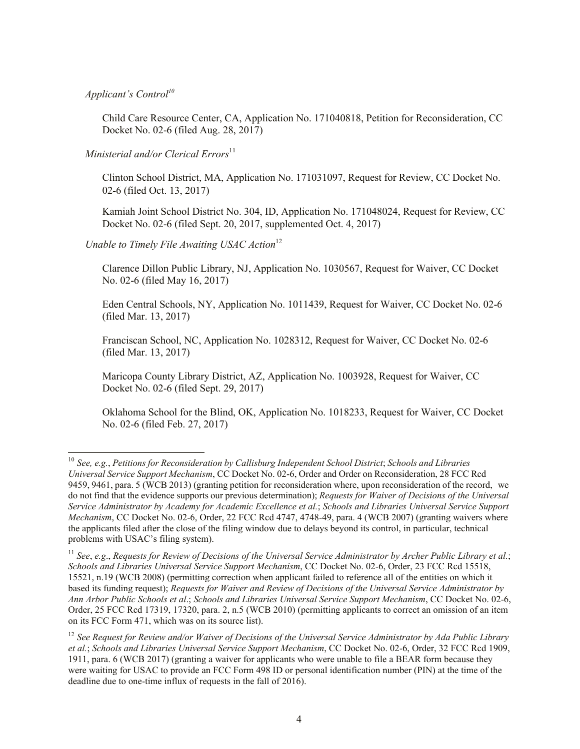*Applicant's Control<sup>10</sup>*

l

Child Care Resource Center, CA, Application No. 171040818, Petition for Reconsideration, CC Docket No. 02-6 (filed Aug. 28, 2017)

*Ministerial and/or Clerical Errors* 11

Clinton School District, MA, Application No. 171031097, Request for Review, CC Docket No. 02-6 (filed Oct. 13, 2017)

Kamiah Joint School District No. 304, ID, Application No. 171048024, Request for Review, CC Docket No. 02-6 (filed Sept. 20, 2017, supplemented Oct. 4, 2017)

*Unable to Timely File Awaiting USAC Action*<sup>12</sup>

Clarence Dillon Public Library, NJ, Application No. 1030567, Request for Waiver, CC Docket No. 02-6 (filed May 16, 2017)

Eden Central Schools, NY, Application No. 1011439, Request for Waiver, CC Docket No. 02-6 (filed Mar. 13, 2017)

Franciscan School, NC, Application No. 1028312, Request for Waiver, CC Docket No. 02-6 (filed Mar. 13, 2017)

Maricopa County Library District, AZ, Application No. 1003928, Request for Waiver, CC Docket No. 02-6 (filed Sept. 29, 2017)

Oklahoma School for the Blind, OK, Application No. 1018233, Request for Waiver, CC Docket No. 02-6 (filed Feb. 27, 2017)

<sup>10</sup> *See, e.g.*, *Petitions for Reconsideration by Callisburg Independent School District*; *Schools and Libraries Universal Service Support Mechanism*, CC Docket No. 02-6, Order and Order on Reconsideration, 28 FCC Rcd 9459, 9461, para. 5 (WCB 2013) (granting petition for reconsideration where, upon reconsideration of the record, we do not find that the evidence supports our previous determination); *Requests for Waiver of Decisions of the Universal Service Administrator by Academy for Academic Excellence et al.*; *Schools and Libraries Universal Service Support Mechanism*, CC Docket No. 02-6, Order, 22 FCC Rcd 4747, 4748-49, para. 4 (WCB 2007) (granting waivers where the applicants filed after the close of the filing window due to delays beyond its control, in particular, technical problems with USAC's filing system).

<sup>11</sup> *See*, *e.g*., *Requests for Review of Decisions of the Universal Service Administrator by Archer Public Library et al.*; *Schools and Libraries Universal Service Support Mechanism*, CC Docket No. 02-6, Order, 23 FCC Rcd 15518, 15521, n.19 (WCB 2008) (permitting correction when applicant failed to reference all of the entities on which it based its funding request); *Requests for Waiver and Review of Decisions of the Universal Service Administrator by Ann Arbor Public Schools et al*.; *Schools and Libraries Universal Service Support Mechanism*, CC Docket No. 02-6, Order, 25 FCC Rcd 17319, 17320, para. 2, n.5 (WCB 2010) (permitting applicants to correct an omission of an item on its FCC Form 471, which was on its source list).

<sup>12</sup> *See Request for Review and/or Waiver of Decisions of the Universal Service Administrator by Ada Public Library et al.*; *Schools and Libraries Universal Service Support Mechanism*, CC Docket No. 02-6, Order, 32 FCC Rcd 1909, 1911, para. 6 (WCB 2017) (granting a waiver for applicants who were unable to file a BEAR form because they were waiting for USAC to provide an FCC Form 498 ID or personal identification number (PIN) at the time of the deadline due to one-time influx of requests in the fall of 2016).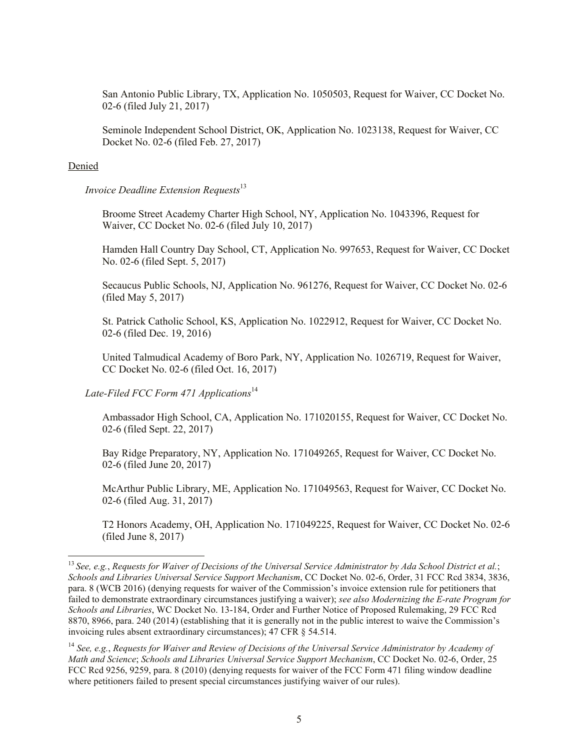San Antonio Public Library, TX, Application No. 1050503, Request for Waiver, CC Docket No. 02-6 (filed July 21, 2017)

Seminole Independent School District, OK, Application No. 1023138, Request for Waiver, CC Docket No. 02-6 (filed Feb. 27, 2017)

#### Denied

l

*Invoice Deadline Extension Requests*<sup>13</sup>

Broome Street Academy Charter High School, NY, Application No. 1043396, Request for Waiver, CC Docket No. 02-6 (filed July 10, 2017)

Hamden Hall Country Day School, CT, Application No. 997653, Request for Waiver, CC Docket No. 02-6 (filed Sept. 5, 2017)

Secaucus Public Schools, NJ, Application No. 961276, Request for Waiver, CC Docket No. 02-6 (filed May 5, 2017)

St. Patrick Catholic School, KS, Application No. 1022912, Request for Waiver, CC Docket No. 02-6 (filed Dec. 19, 2016)

United Talmudical Academy of Boro Park, NY, Application No. 1026719, Request for Waiver, CC Docket No. 02-6 (filed Oct. 16, 2017)

Late-Filed FCC Form 471 Applications<sup>14</sup>

Ambassador High School, CA, Application No. 171020155, Request for Waiver, CC Docket No. 02-6 (filed Sept. 22, 2017)

Bay Ridge Preparatory, NY, Application No. 171049265, Request for Waiver, CC Docket No. 02-6 (filed June 20, 2017)

McArthur Public Library, ME, Application No. 171049563, Request for Waiver, CC Docket No. 02-6 (filed Aug. 31, 2017)

T2 Honors Academy, OH, Application No. 171049225, Request for Waiver, CC Docket No. 02-6 (filed June 8, 2017)

<sup>13</sup> *See, e.g.*, *Requests for Waiver of Decisions of the Universal Service Administrator by Ada School District et al.*; *Schools and Libraries Universal Service Support Mechanism*, CC Docket No. 02-6, Order, 31 FCC Rcd 3834, 3836, para. 8 (WCB 2016) (denying requests for waiver of the Commission's invoice extension rule for petitioners that failed to demonstrate extraordinary circumstances justifying a waiver); *see also Modernizing the E-rate Program for Schools and Libraries*, WC Docket No. 13-184, Order and Further Notice of Proposed Rulemaking, 29 FCC Rcd 8870, 8966, para. 240 (2014) (establishing that it is generally not in the public interest to waive the Commission's invoicing rules absent extraordinary circumstances); 47 CFR § 54.514.

<sup>14</sup> *See, e.g.*, *Requests for Waiver and Review of Decisions of the Universal Service Administrator by Academy of Math and Science*; *Schools and Libraries Universal Service Support Mechanism*, CC Docket No. 02-6, Order, 25 FCC Rcd 9256, 9259, para. 8 (2010) (denying requests for waiver of the FCC Form 471 filing window deadline where petitioners failed to present special circumstances justifying waiver of our rules).